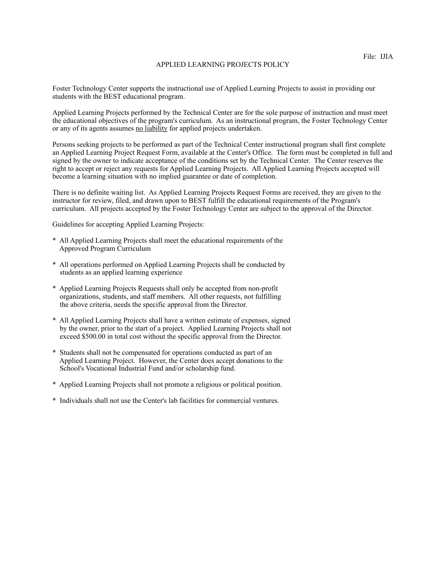Foster Technology Center supports the instructional use of Applied Learning Projects to assist in providing our students with the BEST educational program.

Applied Learning Projects performed by the Technical Center are for the sole purpose of instruction and must meet the educational objectives of the program's curriculum. As an instructional program, the Foster Technology Center or any of its agents assumes no liability for applied projects undertaken.

Persons seeking projects to be performed as part of the Technical Center instructional program shall first complete an Applied Learning Project Request Form, available at the Center's Office. The form must be completed in full and signed by the owner to indicate acceptance of the conditions set by the Technical Center. The Center reserves the right to accept or reject any requests for Applied Learning Projects. All Applied Learning Projects accepted will become a learning situation with no implied guarantee or date of completion.

There is no definite waiting list. As Applied Learning Projects Request Forms are received, they are given to the instructor for review, filed, and drawn upon to BEST fulfill the educational requirements of the Program's curriculum. All projects accepted by the Foster Technology Center are subject to the approval of the Director.

Guidelines for accepting Applied Learning Projects:

- \* All Applied Learning Projects shall meet the educational requirements of the Approved Program Curriculum
- \* All operations performed on Applied Learning Projects shall be conducted by students as an applied learning experience
- \* Applied Learning Projects Requests shall only be accepted from non-profit organizations, students, and staff members. All other requests, not fulfilling the above criteria, needs the specific approval from the Director.
- \* All Applied Learning Projects shall have a written estimate of expenses, signed by the owner, prior to the start of a project. Applied Learning Projects shall not exceed \$500.00 in total cost without the specific approval from the Director.
- \* Students shall not be compensated for operations conducted as part of an Applied Learning Project. However, the Center does accept donations to the School's Vocational Industrial Fund and/or scholarship fund.
- \* Applied Learning Projects shall not promote a religious or political position.
- \* Individuals shall not use the Center's lab facilities for commercial ventures.